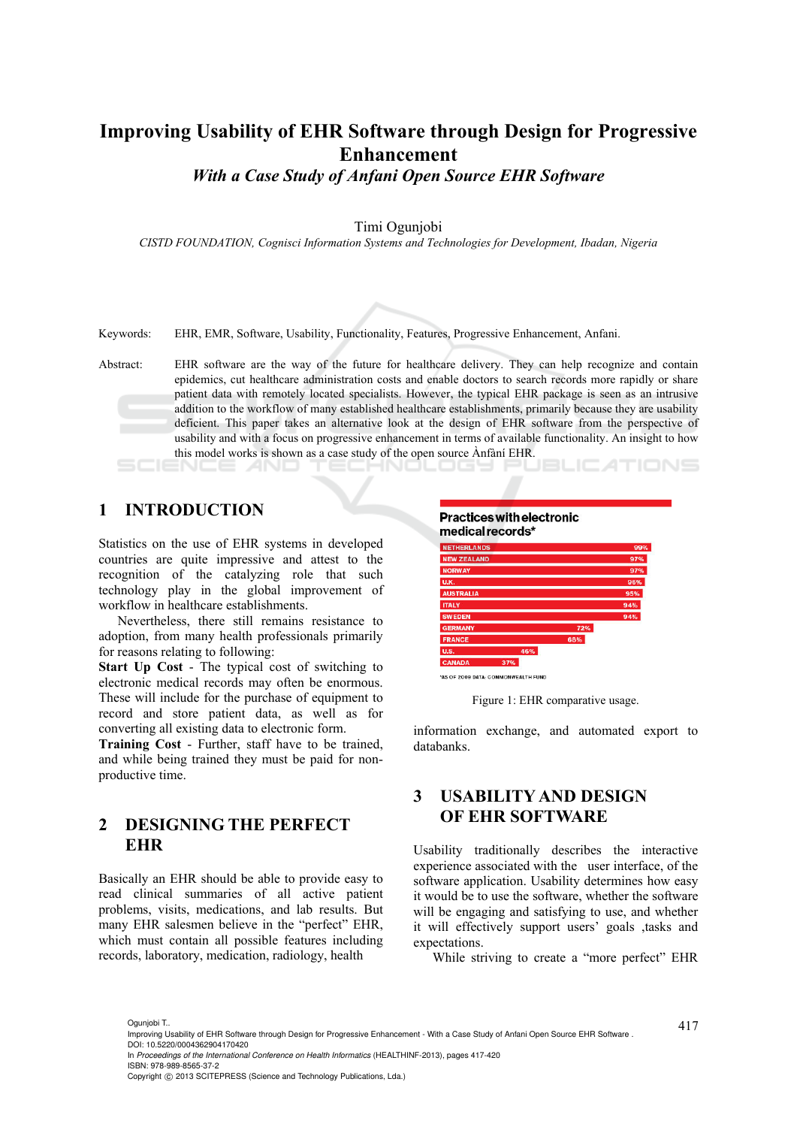# **Improving Usability of EHR Software through Design for Progressive Enhancement**

*With a Case Study of Anfani Open Source EHR Software* 

Timi Ogunjobi

*CISTD FOUNDATION, Cognisci Information Systems and Technologies for Development, Ibadan, Nigeria* 

Keywords: EHR, EMR, Software, Usability, Functionality, Features, Progressive Enhancement, Anfani.

Abstract: EHR software are the way of the future for healthcare delivery. They can help recognize and contain epidemics, cut healthcare administration costs and enable doctors to search records more rapidly or share patient data with remotely located specialists. However, the typical EHR package is seen as an intrusive addition to the workflow of many established healthcare establishments, primarily because they are usability deficient. This paper takes an alternative look at the design of EHR software from the perspective of usability and with a focus on progressive enhancement in terms of available functionality. An insight to how this model works is shown as a case study of the open source Ànfàní EHR.

### **1 INTRODUCTION**

Statistics on the use of EHR systems in developed countries are quite impressive and attest to the recognition of the catalyzing role that such technology play in the global improvement of workflow in healthcare establishments.

Nevertheless, there still remains resistance to adoption, from many health professionals primarily for reasons relating to following:

**Start Up Cost** - The typical cost of switching to electronic medical records may often be enormous. These will include for the purchase of equipment to record and store patient data, as well as for converting all existing data to electronic form.

**Training Cost** - Further, staff have to be trained, and while being trained they must be paid for nonproductive time.

### **2 DESIGNING THE PERFECT EHR**

Basically an EHR should be able to provide easy to read clinical summaries of all active patient problems, visits, medications, and lab results. But many EHR salesmen believe in the "perfect" EHR, which must contain all possible features including records, laboratory, medication, radiology, health



\*AS OF 2009 DATA: COMMONWEALTH FUNI

Figure 1: EHR comparative usage.

information exchange, and automated export to databanks.

### **3 USABILITY AND DESIGN OF EHR SOFTWARE**

Usability traditionally describes the interactive experience associated with the user interface, of the software application. Usability determines how easy it would be to use the software, whether the software will be engaging and satisfying to use, and whether it will effectively support users' goals ,tasks and expectations.

While striving to create a "more perfect" EHR

In *Proceedings of the International Conference on Health Informatics* (HEALTHINF-2013), pages 417-420 ISBN: 978-989-8565-37-2

<sup>417</sup> Ogunjobi T.. Improving Usability of EHR Software through Design for Progressive Enhancement - With a Case Study of Anfani Open Source EHR Software . DOI: 10.5220/0004362904170420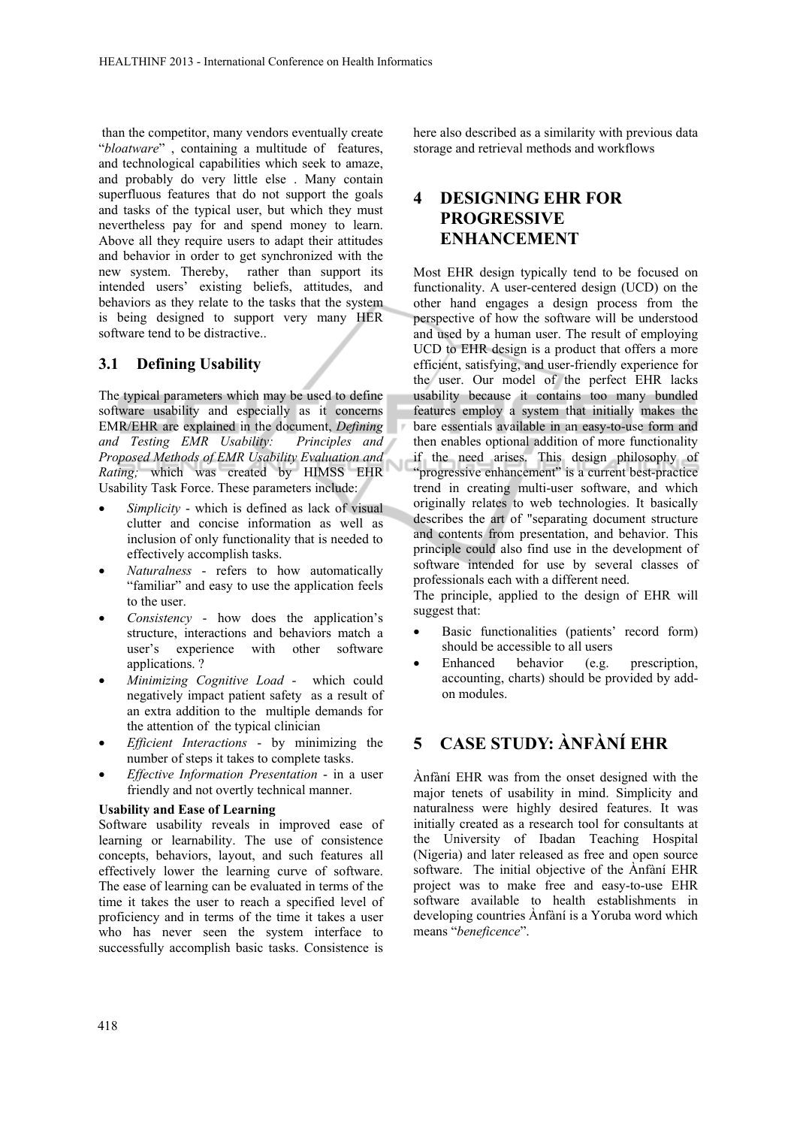than the competitor, many vendors eventually create "*bloatware*" , containing a multitude of features, and technological capabilities which seek to amaze, and probably do very little else . Many contain superfluous features that do not support the goals and tasks of the typical user, but which they must nevertheless pay for and spend money to learn. Above all they require users to adapt their attitudes and behavior in order to get synchronized with the new system. Thereby, rather than support its intended users' existing beliefs, attitudes, and behaviors as they relate to the tasks that the system is being designed to support very many HER software tend to be distractive..

#### **3.1 Defining Usability**

The typical parameters which may be used to define software usability and especially as it concerns EMR/EHR are explained in the document, *Defining and Testing EMR Usability: Principles and Proposed Methods of EMR Usability Evaluation and Rating;* which was created by HIMSS EHR Usability Task Force. These parameters include:

- *Simplicity* which is defined as lack of visual clutter and concise information as well as inclusion of only functionality that is needed to effectively accomplish tasks.
- *Naturalness* refers to how automatically "familiar" and easy to use the application feels to the user.
- *Consistency*  how does the application's structure, interactions and behaviors match a user's experience with other software applications. ?
- *Minimizing Cognitive Load* which could negatively impact patient safety as a result of an extra addition to the multiple demands for the attention of the typical clinician
- *Efficient Interactions* by minimizing the number of steps it takes to complete tasks.
- *Effective Information Presentation* in a user friendly and not overtly technical manner.

#### **Usability and Ease of Learning**

Software usability reveals in improved ease of learning or learnability. The use of consistence concepts, behaviors, layout, and such features all effectively lower the learning curve of software. The ease of learning can be evaluated in terms of the time it takes the user to reach a specified level of proficiency and in terms of the time it takes a user who has never seen the system interface to successfully accomplish basic tasks. Consistence is here also described as a similarity with previous data storage and retrieval methods and workflows

### **4 DESIGNING EHR FOR PROGRESSIVE ENHANCEMENT**

Most EHR design typically tend to be focused on functionality. A user-centered design (UCD) on the other hand engages a design process from the perspective of how the software will be understood and used by a human user. The result of employing UCD to EHR design is a product that offers a more efficient, satisfying, and user-friendly experience for the user. Our model of the perfect EHR lacks usability because it contains too many bundled features employ a system that initially makes the bare essentials available in an easy-to-use form and then enables optional addition of more functionality if the need arises. This design philosophy of "progressive enhancement" is a current best-practice trend in creating multi-user software, and which originally relates to web technologies. It basically describes the art of "separating document structure and contents from presentation, and behavior. This principle could also find use in the development of software intended for use by several classes of professionals each with a different need.

The principle, applied to the design of EHR will suggest that:

- Basic functionalities (patients' record form) should be accessible to all users
- Enhanced behavior (e.g. prescription, accounting, charts) should be provided by addon modules.

## **5 CASE STUDY: ÀNFÀNÍ EHR**

Ànfàní EHR was from the onset designed with the major tenets of usability in mind. Simplicity and naturalness were highly desired features. It was initially created as a research tool for consultants at the University of Ibadan Teaching Hospital (Nigeria) and later released as free and open source software. The initial objective of the Ànfàní EHR project was to make free and easy-to-use EHR software available to health establishments in developing countries Ànfàní is a Yoruba word which means "*beneficence*".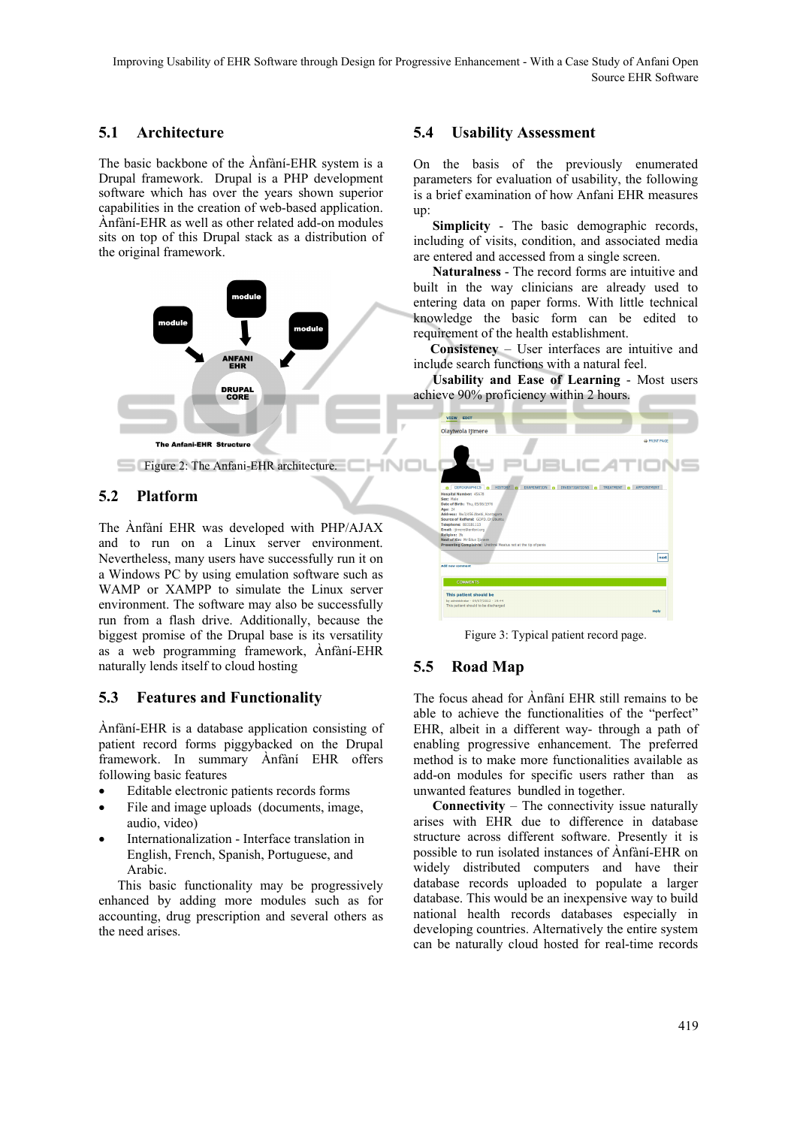#### **5.1 Architecture**

The basic backbone of the Ànfàní-EHR system is a Drupal framework. Drupal is a PHP development software which has over the years shown superior capabilities in the creation of web-based application. Ànfàní-EHR as well as other related add-on modules sits on top of this Drupal stack as a distribution of the original framework.



### **5.2 Platform**

The Ànfàní EHR was developed with PHP/AJAX and to run on a Linux server environment. Nevertheless, many users have successfully run it on a Windows PC by using emulation software such as WAMP or XAMPP to simulate the Linux server environment. The software may also be successfully run from a flash drive. Additionally, because the biggest promise of the Drupal base is its versatility as a web programming framework, Ànfàní-EHR naturally lends itself to cloud hosting

### **5.3 Features and Functionality**

Ànfàní-EHR is a database application consisting of patient record forms piggybacked on the Drupal framework. In summary Ànfàní EHR offers following basic features

- Editable electronic patients records forms
- File and image uploads (documents, image, audio, video)
- Internationalization Interface translation in English, French, Spanish, Portuguese, and Arabic.

This basic functionality may be progressively enhanced by adding more modules such as for accounting, drug prescription and several others as the need arises.

#### **5.4 Usability Assessment**

On the basis of the previously enumerated parameters for evaluation of usability, the following is a brief examination of how Anfani EHR measures up:

**Simplicity** - The basic demographic records, including of visits, condition, and associated media are entered and accessed from a single screen.

**Naturalness** - The record forms are intuitive and built in the way clinicians are already used to entering data on paper forms. With little technical knowledge the basic form can be edited to requirement of the health establishment.

 **Consistency** – User interfaces are intuitive and include search functions with a natural feel.

**Usability and Ease of Learning** - Most users achieve 90% proficiency within 2 hours.

| EDIT<br><b>VIEW</b>                                                  |                                                       |
|----------------------------------------------------------------------|-------------------------------------------------------|
| Olayiwola Ijimere                                                    |                                                       |
|                                                                      | <b>ED PRINT PAGE</b>                                  |
|                                                                      | <b>PUBLICATIONS</b>                                   |
| <b>HISTORY</b> O<br><b>EXAMINATION O</b><br>DEMOGRAPHICS 6<br>$\sim$ | INVESTIGATIONS O<br>TREATMENT O<br><b>APPOINTMENT</b> |
| <b>Hospital Number: 45678</b>                                        |                                                       |
| Sex: Male<br>Date of Birth: Thu, 05/06/1976                          |                                                       |
| Age: 24                                                              |                                                       |
| Address: Nw3/456 Abebi, Kontagora                                    |                                                       |
| Source of Refferal: GOPD, Dr.Ubuntu                                  |                                                       |
| Telephone: 803181113                                                 |                                                       |
| Email: ijimere@anfani.org<br>Religion: Ifa                           |                                                       |
| Next of Kin: Mr Edun Jimere                                          |                                                       |
| Presenting Complaints: Urethral Meatus not at the tip of penis       |                                                       |
|                                                                      | next                                                  |
| Add new comment                                                      |                                                       |
| <b>COMMENTS</b>                                                      |                                                       |
|                                                                      |                                                       |
| This patient should be                                               |                                                       |
| by administrator - 09/07/2012 - 19:44                                |                                                       |
| This patient should to be discharged                                 |                                                       |
|                                                                      | reply                                                 |

Figure 3: Typical patient record page.

#### **5.5 Road Map**

The focus ahead for Ànfàní EHR still remains to be able to achieve the functionalities of the "perfect" EHR, albeit in a different way- through a path of enabling progressive enhancement. The preferred method is to make more functionalities available as add-on modules for specific users rather than as unwanted features bundled in together.

**Connectivity** – The connectivity issue naturally arises with EHR due to difference in database structure across different software. Presently it is possible to run isolated instances of Ànfàní-EHR on widely distributed computers and have their database records uploaded to populate a larger database. This would be an inexpensive way to build national health records databases especially in developing countries. Alternatively the entire system can be naturally cloud hosted for real-time records